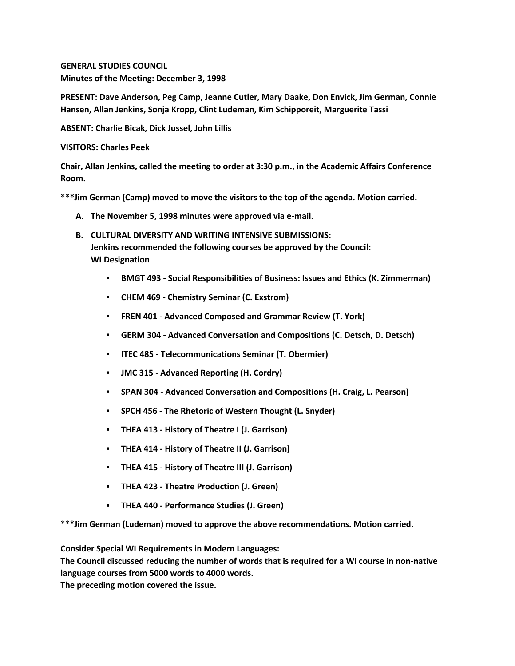**GENERAL STUDIES COUNCIL Minutes of the Meeting: December 3, 1998**

**PRESENT: Dave Anderson, Peg Camp, Jeanne Cutler, Mary Daake, Don Envick, Jim German, Connie Hansen, Allan Jenkins, Sonja Kropp, Clint Ludeman, Kim Schipporeit, Marguerite Tassi**

**ABSENT: Charlie Bicak, Dick Jussel, John Lillis**

**VISITORS: Charles Peek**

**Chair, Allan Jenkins, called the meeting to order at 3:30 p.m., in the Academic Affairs Conference Room.**

**\*\*\*Jim German (Camp) moved to move the visitors to the top of the agenda. Motion carried.**

- **A. The November 5, 1998 minutes were approved via e-mail.**
- **B. CULTURAL DIVERSITY AND WRITING INTENSIVE SUBMISSIONS: Jenkins recommended the following courses be approved by the Council: WI Designation** 
	- **BMGT 493 - Social Responsibilities of Business: Issues and Ethics (K. Zimmerman)**
	- **CHEM 469 - Chemistry Seminar (C. Exstrom)**
	- **FREN 401 - Advanced Composed and Grammar Review (T. York)**
	- **GERM 304 - Advanced Conversation and Compositions (C. Detsch, D. Detsch)**
	- **ITEC 485 - Telecommunications Seminar (T. Obermier)**
	- **JMC 315 - Advanced Reporting (H. Cordry)**
	- **SPAN 304 - Advanced Conversation and Compositions (H. Craig, L. Pearson)**
	- **SPCH 456 - The Rhetoric of Western Thought (L. Snyder)**
	- **THEA 413 - History of Theatre I (J. Garrison)**
	- **THEA 414 - History of Theatre II (J. Garrison)**
	- **THEA 415 - History of Theatre III (J. Garrison)**
	- **THEA 423 - Theatre Production (J. Green)**
	- **THEA 440 - Performance Studies (J. Green)**

**\*\*\*Jim German (Ludeman) moved to approve the above recommendations. Motion carried.**

**Consider Special WI Requirements in Modern Languages:**

**The Council discussed reducing the number of words that is required for a WI course in non-native language courses from 5000 words to 4000 words.**

**The preceding motion covered the issue.**